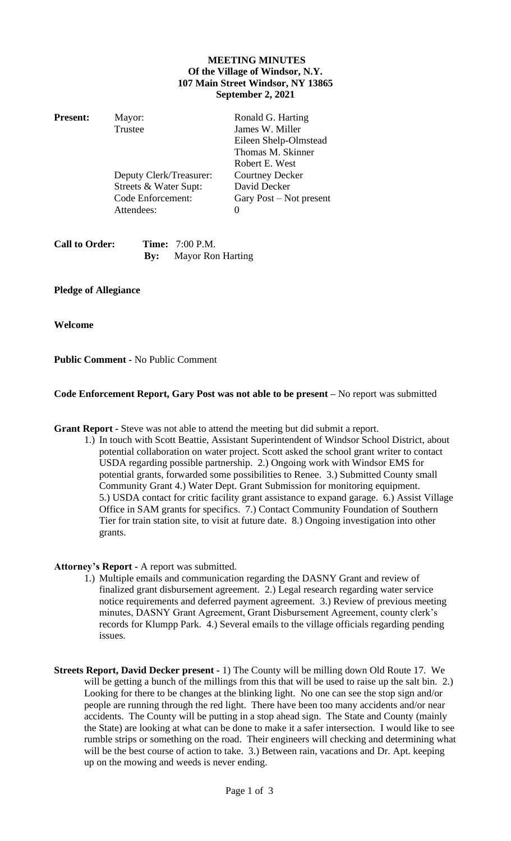## **MEETING MINUTES Of the Village of Windsor, N.Y. 107 Main Street Windsor, NY 13865 September 2, 2021**

| <b>Present:</b> | Mayor:                  | Ronald G. Harting         |
|-----------------|-------------------------|---------------------------|
|                 | Trustee                 | James W. Miller           |
|                 |                         | Eileen Shelp-Olmstead     |
|                 |                         | Thomas M. Skinner         |
|                 |                         | Robert E. West            |
|                 | Deputy Clerk/Treasurer: | <b>Courtney Decker</b>    |
|                 | Streets & Water Supt:   | David Decker              |
|                 | Code Enforcement:       | Gary Post $-$ Not present |
|                 | Attendees:              | $\mathbf{0}$              |
|                 |                         |                           |
|                 |                         |                           |

| <b>Call to Order:</b> | <b>Time:</b> 7:00 P.M.       |
|-----------------------|------------------------------|
|                       | <b>By:</b> Mayor Ron Harting |

## **Pledge of Allegiance**

**Welcome** 

**Public Comment -** No Public Comment

## **Code Enforcement Report, Gary Post was not able to be present –** No report was submitted

**Grant Report -** Steve was not able to attend the meeting but did submit a report.

1.) In touch with Scott Beattie, Assistant Superintendent of Windsor School District, about potential collaboration on water project. Scott asked the school grant writer to contact USDA regarding possible partnership. 2.) Ongoing work with Windsor EMS for potential grants, forwarded some possibilities to Renee. 3.) Submitted County small Community Grant 4.) Water Dept. Grant Submission for monitoring equipment. 5.) USDA contact for critic facility grant assistance to expand garage. 6.) Assist Village Office in SAM grants for specifics. 7.) Contact Community Foundation of Southern Tier for train station site, to visit at future date. 8.) Ongoing investigation into other grants.

## **Attorney's Report -** A report was submitted.

- 1.) Multiple emails and communication regarding the DASNY Grant and review of finalized grant disbursement agreement. 2.) Legal research regarding water service notice requirements and deferred payment agreement. 3.) Review of previous meeting minutes, DASNY Grant Agreement, Grant Disbursement Agreement, county clerk's records for Klumpp Park. 4.) Several emails to the village officials regarding pending issues.
- **Streets Report, David Decker present -** 1) The County will be milling down Old Route 17. We will be getting a bunch of the millings from this that will be used to raise up the salt bin. 2.) Looking for there to be changes at the blinking light. No one can see the stop sign and/or people are running through the red light. There have been too many accidents and/or near accidents. The County will be putting in a stop ahead sign. The State and County (mainly the State) are looking at what can be done to make it a safer intersection. I would like to see rumble strips or something on the road. Their engineers will checking and determining what will be the best course of action to take. 3.) Between rain, vacations and Dr. Apt. keeping up on the mowing and weeds is never ending.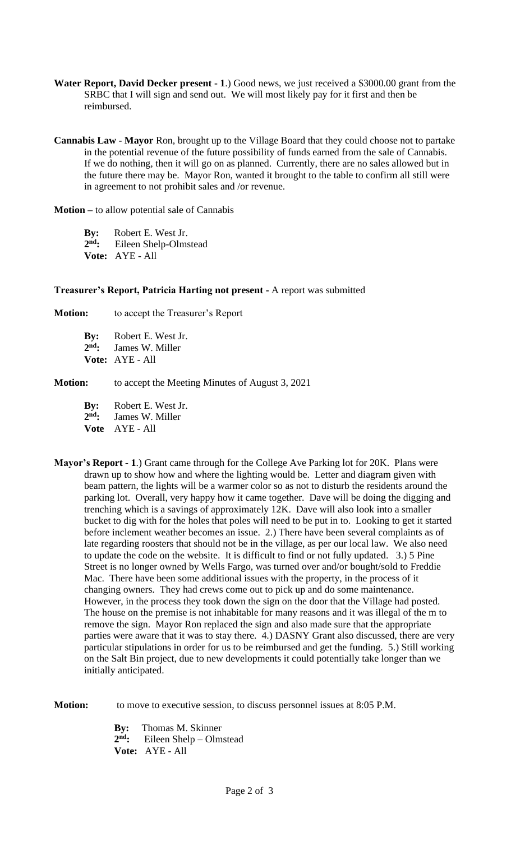- **Water Report, David Decker present - 1**.) Good news, we just received a \$3000.00 grant from the SRBC that I will sign and send out. We will most likely pay for it first and then be reimbursed.
- **Cannabis Law - Mayor** Ron, brought up to the Village Board that they could choose not to partake in the potential revenue of the future possibility of funds earned from the sale of Cannabis. If we do nothing, then it will go on as planned. Currently, there are no sales allowed but in the future there may be. Mayor Ron, wanted it brought to the table to confirm all still were in agreement to not prohibit sales and /or revenue.

**Motion –** to allow potential sale of Cannabis

**By:** Robert E. West Jr. 2<sup>nd</sup>: **nd:** Eileen Shelp-Olmstead **Vote:** AYE - All

**Treasurer's Report, Patricia Harting not present -** A report was submitted

**Motion:** to accept the Treasurer's Report

**By:** Robert E. West Jr. 2<sup>nd</sup>: James W. Miller **Vote:** AYE - All

**Motion:** to accept the Meeting Minutes of August 3, 2021

**By:** Robert E. West Jr. 2<sup>nd</sup>. James W. Miller

**Vote** AYE - All

**Mayor's Report - 1**.) Grant came through for the College Ave Parking lot for 20K. Plans were drawn up to show how and where the lighting would be. Letter and diagram given with beam pattern, the lights will be a warmer color so as not to disturb the residents around the parking lot. Overall, very happy how it came together. Dave will be doing the digging and trenching which is a savings of approximately 12K. Dave will also look into a smaller bucket to dig with for the holes that poles will need to be put in to. Looking to get it started before inclement weather becomes an issue. 2.) There have been several complaints as of late regarding roosters that should not be in the village, as per our local law. We also need to update the code on the website. It is difficult to find or not fully updated. 3.) 5 Pine Street is no longer owned by Wells Fargo, was turned over and/or bought/sold to Freddie Mac. There have been some additional issues with the property, in the process of it changing owners. They had crews come out to pick up and do some maintenance. However, in the process they took down the sign on the door that the Village had posted. The house on the premise is not inhabitable for many reasons and it was illegal of the m to remove the sign. Mayor Ron replaced the sign and also made sure that the appropriate parties were aware that it was to stay there. 4.) DASNY Grant also discussed, there are very particular stipulations in order for us to be reimbursed and get the funding. 5.) Still working on the Salt Bin project, due to new developments it could potentially take longer than we initially anticipated.

**Motion:** to move to executive session, to discuss personnel issues at 8:05 P.M.

**By:** Thomas M. Skinner 2<sup>nd</sup>: **nd:** Eileen Shelp – Olmstead **Vote:** AYE - All